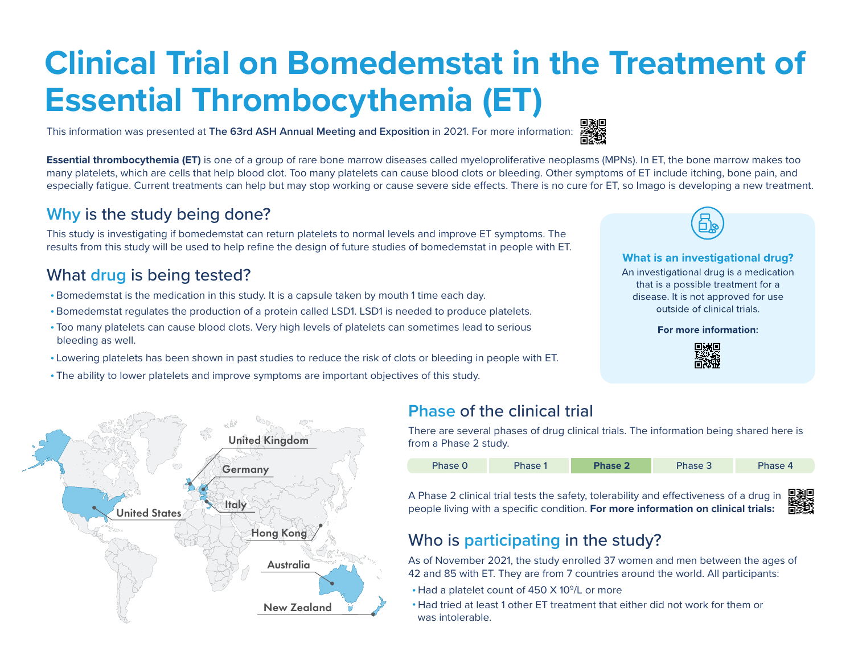# **Clinical Trial on Bomedemstat in the Treatment of Essential Thrombocythemia (ET)**

This information was presented at **The 63rd ASH Annual Meeting and Exposition** in 2021. For more informati[on:](https://ashpublications.org/blood/article/138/Supplement%201/386/478212/A-Phase-2-Study-of-the-LSD1-Inhibitor-Img-7289)



# **Why** is the study being done?

This study is investigating if bomedemstat can return platelets to normal levels and improve ET symptoms. The results from this study will be used to help refine the design of future studies of bomedemstat in people with ET.

# What **drug** is being tested?

- **•** Bomedemstat is the medication in this study. It is a capsule taken by mouth 1 time each day.
- **•** Bomedemstat regulates the production of a protein called LSD1. LSD1 is needed to produce platelets.
- **•** Too many platelets can cause blood clots. Very high levels of platelets can sometimes lead to serious bleeding as well.
- **•** Lowering platelets has been shown in past studies to reduce the risk of clots or bleeding in people with ET.
- **•** The ability to lower platelets and improve symptoms are important objectives of this study.



#### What is an investigational drug?

An investigational drug is a medication that is a possible treatment for a disease. It is not approved for use outside of clinical trials.

For more information:





# **Phase** of the clinical trial

There are several phases of drug clinical trials. The information being shared here is from a Phase 2 study.



A Phase 2 clinical trial tests the safety[, tolerability and effectiveness of a drug in](https://www.fda.gov/patients/clinical-trials-what-patients-need-know/what-are-different-types-clinical-research)  people living with a specific condition. **For more information on clinical trials:**

# Who is **participating** in the study?

As of November 2021, the study enrolled 37 women and men between the ages of 42 and 85 with ET. They are from 7 countries around the world. All participants:

- **•** Had a platelet count of 450 X 109/L or more
- **•** Had tried at least 1 other ET treatment that either did not work for them or was intolerable.